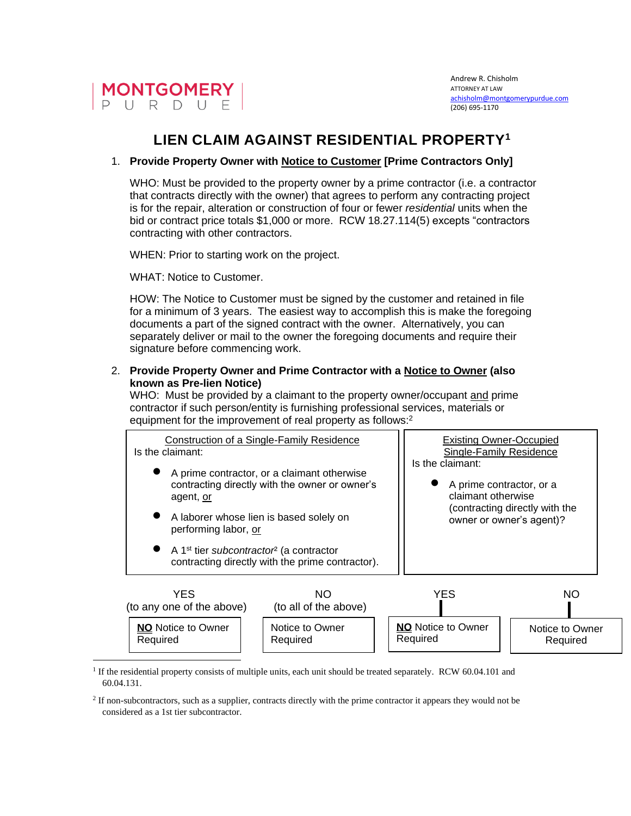

# **LIEN CLAIM AGAINST RESIDENTIAL PROPERTY<sup>1</sup>**

## 1. **Provide Property Owner with Notice to Customer [Prime Contractors Only]**

WHO: Must be provided to the property owner by a prime contractor (i.e. a contractor that contracts directly with the owner) that agrees to perform any contracting project is for the repair, alteration or construction of four or fewer *residential* units when the bid or contract price totals \$1,000 or more. RCW 18.27.114(5) excepts "contractors contracting with other contractors.

WHEN: Prior to starting work on the project.

WHAT: Notice to Customer.

HOW: The Notice to Customer must be signed by the customer and retained in file for a minimum of 3 years. The easiest way to accomplish this is make the foregoing documents a part of the signed contract with the owner. Alternatively, you can separately deliver or mail to the owner the foregoing documents and require their signature before commencing work.

### 2. **Provide Property Owner and Prime Contractor with a Notice to Owner (also known as Pre-lien Notice)**

WHO: Must be provided by a claimant to the property owner/occupant and prime contractor if such person/entity is furnishing professional services, materials or equipment for the improvement of real property as follows:<sup>2</sup>



<sup>1</sup> If the residential property consists of multiple units, each unit should be treated separately. RCW 60.04.101 and 60.04.131.

<sup>2</sup> If non-subcontractors, such as a supplier, contracts directly with the prime contractor it appears they would not be considered as a 1st tier subcontractor.